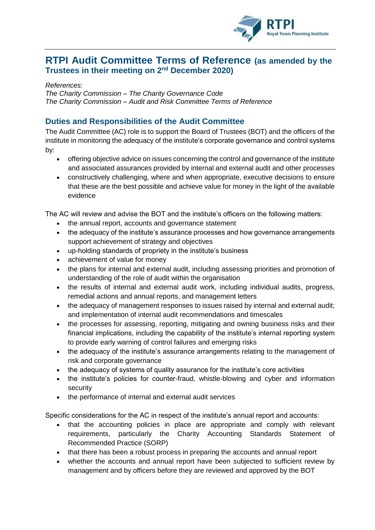

## **RTPI Audit Committee Terms of Reference (as amended by the Trustees in their meeting on 2nd December 2020)**

*References:* 

*The Charity Commission – The Charity Governance Code The Charity Commission – Audit and Risk Committee Terms of Reference*

## **Duties and Responsibilities of the Audit Committee**

The Audit Committee (AC) role is to support the Board of Trustees (BOT) and the officers of the institute in monitoring the adequacy of the institute's corporate governance and control systems by:

- offering objective advice on issues concerning the control and governance of the institute and associated assurances provided by internal and external audit and other processes
- constructively challenging, where and when appropriate, executive decisions to ensure that these are the best possible and achieve value for money in the light of the available evidence

The AC will review and advise the BOT and the institute's officers on the following matters:

- the annual report, accounts and governance statement
- the adequacy of the institute's assurance processes and how governance arrangements support achievement of strategy and objectives
- up-holding standards of propriety in the institute's business
- achievement of value for money
- the plans for internal and external audit, including assessing priorities and promotion of understanding of the role of audit within the organisation
- the results of internal and external audit work, including individual audits, progress, remedial actions and annual reports, and management letters
- the adequacy of management responses to issues raised by internal and external audit; and implementation of internal audit recommendations and timescales
- the processes for assessing, reporting, mitigating and owning business risks and their financial implications, including the capability of the institute's internal reporting system to provide early warning of control failures and emerging risks
- the adequacy of the institute's assurance arrangements relating to the management of risk and corporate governance
- the adequacy of systems of quality assurance for the institute's core activities
- the institute's policies for counter-fraud, whistle-blowing and cyber and information security
- the performance of internal and external audit services

Specific considerations for the AC in respect of the institute's annual report and accounts:

- that the accounting policies in place are appropriate and comply with relevant requirements, particularly the Charity Accounting Standards Statement of Recommended Practice (SORP)
- that there has been a robust process in preparing the accounts and annual report
- whether the accounts and annual report have been subjected to sufficient review by management and by officers before they are reviewed and approved by the BOT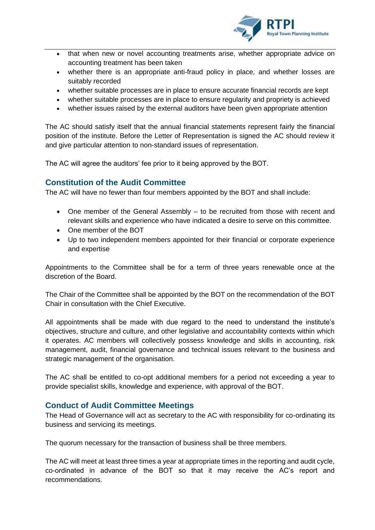

- that when new or novel accounting treatments arise, whether appropriate advice on accounting treatment has been taken
- whether there is an appropriate anti-fraud policy in place, and whether losses are suitably recorded
- whether suitable processes are in place to ensure accurate financial records are kept
- whether suitable processes are in place to ensure regularity and propriety is achieved
- whether issues raised by the external auditors have been given appropriate attention

The AC should satisfy itself that the annual financial statements represent fairly the financial position of the institute. Before the Letter of Representation is signed the AC should review it and give particular attention to non-standard issues of representation.

The AC will agree the auditors' fee prior to it being approved by the BOT.

## **Constitution of the Audit Committee**

The AC will have no fewer than four members appointed by the BOT and shall include:

- One member of the General Assembly to be recruited from those with recent and relevant skills and experience who have indicated a desire to serve on this committee.
- One member of the BOT
- Up to two independent members appointed for their financial or corporate experience and expertise

Appointments to the Committee shall be for a term of three years renewable once at the discretion of the Board.

The Chair of the Committee shall be appointed by the BOT on the recommendation of the BOT Chair in consultation with the Chief Executive.

All appointments shall be made with due regard to the need to understand the institute's objectives, structure and culture, and other legislative and accountability contexts within which it operates. AC members will collectively possess knowledge and skills in accounting, risk management, audit, financial governance and technical issues relevant to the business and strategic management of the organisation.

The AC shall be entitled to co-opt additional members for a period not exceeding a year to provide specialist skills, knowledge and experience, with approval of the BOT.

## **Conduct of Audit Committee Meetings**

The Head of Governance will act as secretary to the AC with responsibility for co-ordinating its business and servicing its meetings.

The quorum necessary for the transaction of business shall be three members.

The AC will meet at least three times a year at appropriate times in the reporting and audit cycle, co-ordinated in advance of the BOT so that it may receive the AC's report and recommendations.